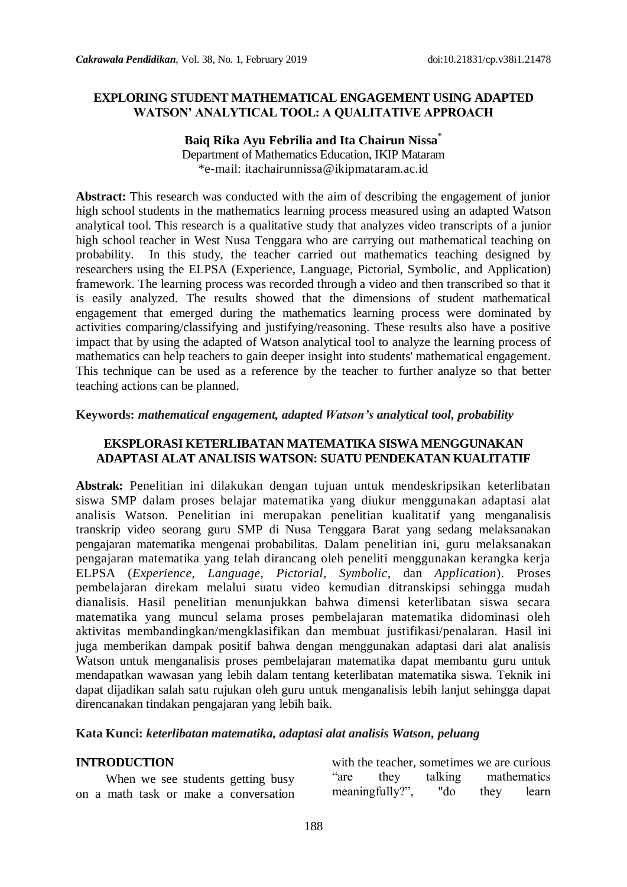### **EXPLORING STUDENT MATHEMATICAL ENGAGEMENT USING ADAPTED WATSON' ANALYTICAL TOOL: A QUALITATIVE APPROACH**

### **Baiq Rika Ayu Febrilia and Ita Chairun Nissa\*** Department of Mathematics Education, IKIP Mataram \*e-mail: itachairunnissa@ikipmataram.ac.id

**Abstract:** This research was conducted with the aim of describing the engagement of junior high school students in the mathematics learning process measured using an adapted Watson analytical tool. This research is a qualitative study that analyzes video transcripts of a junior high school teacher in West Nusa Tenggara who are carrying out mathematical teaching on probability. In this study, the teacher carried out mathematics teaching designed by researchers using the ELPSA (Experience, Language, Pictorial, Symbolic, and Application) framework. The learning process was recorded through a video and then transcribed so that it is easily analyzed. The results showed that the dimensions of student mathematical engagement that emerged during the mathematics learning process were dominated by activities comparing/classifying and justifying/reasoning. These results also have a positive impact that by using the adapted of Watson analytical tool to analyze the learning process of mathematics can help teachers to gain deeper insight into students' mathematical engagement. This technique can be used as a reference by the teacher to further analyze so that better teaching actions can be planned.

#### **Keywords:** *mathematical engagement, adapted Watson's analytical tool, probability*

## **EKSPLORASI KETERLIBATAN MATEMATIKA SISWA MENGGUNAKAN ADAPTASI ALAT ANALISIS WATSON: SUATU PENDEKATAN KUALITATIF**

**Abstrak:** Penelitian ini dilakukan dengan tujuan untuk mendeskripsikan keterlibatan siswa SMP dalam proses belajar matematika yang diukur menggunakan adaptasi alat analisis Watson. Penelitian ini merupakan penelitian kualitatif yang menganalisis transkrip video seorang guru SMP di Nusa Tenggara Barat yang sedang melaksanakan pengajaran matematika mengenai probabilitas. Dalam penelitian ini, guru melaksanakan pengajaran matematika yang telah dirancang oleh peneliti menggunakan kerangka kerja ELPSA (*Experience*, *Language*, *Pictorial*, *Symbolic*, dan *Application*). Proses pembelajaran direkam melalui suatu video kemudian ditranskipsi sehingga mudah dianalisis. Hasil penelitian menunjukkan bahwa dimensi keterlibatan siswa secara matematika yang muncul selama proses pembelajaran matematika didominasi oleh aktivitas membandingkan/mengklasifikan dan membuat justifikasi/penalaran. Hasil ini juga memberikan dampak positif bahwa dengan menggunakan adaptasi dari alat analisis Watson untuk menganalisis proses pembelajaran matematika dapat membantu guru untuk mendapatkan wawasan yang lebih dalam tentang keterlibatan matematika siswa. Teknik ini dapat dijadikan salah satu rujukan oleh guru untuk menganalisis lebih lanjut sehingga dapat direncanakan tindakan pengajaran yang lebih baik.

#### **Kata Kunci:** *keterlibatan matematika, adaptasi alat analisis Watson, peluang*

#### **INTRODUCTION**

When we see students getting busy on a math task or make a conversation

with the teacher, sometimes we are curious "are they talking mathematics meaningfully?", "do they learn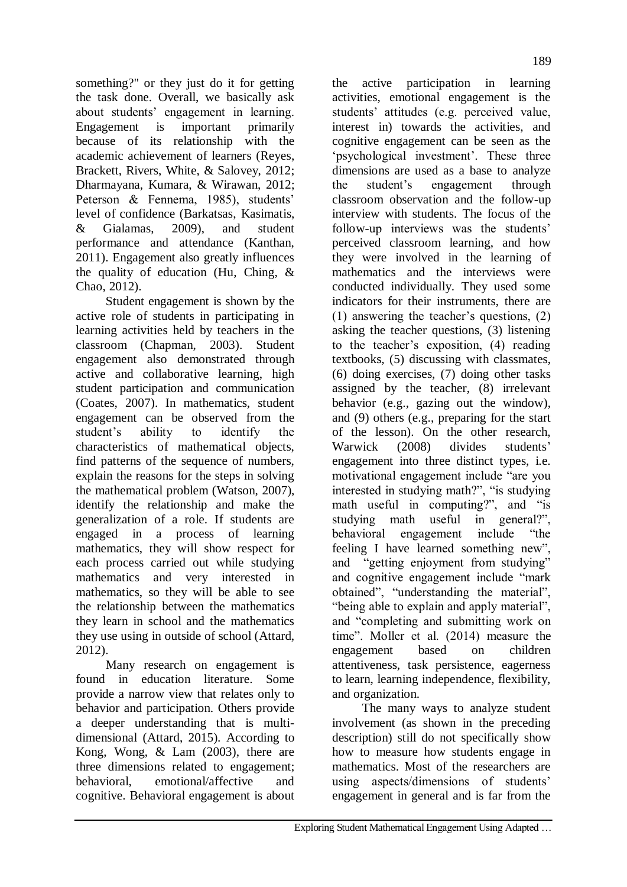something?" or they just do it for getting the task done. Overall, we basically ask about students" engagement in learning. Engagement is important primarily because of its relationship with the academic achievement of learners (Reyes, Brackett, Rivers, White, & Salovey, 2012; Dharmayana, Kumara, & Wirawan, 2012; Peterson & Fennema, 1985), students' level of confidence (Barkatsas, Kasimatis, & Gialamas, 2009), and student performance and attendance (Kanthan, 2011). Engagement also greatly influences the quality of education (Hu, Ching, & Chao, 2012).

Student engagement is shown by the active role of students in participating in learning activities held by teachers in the classroom (Chapman, 2003). Student engagement also demonstrated through active and collaborative learning, high student participation and communication (Coates, 2007). In mathematics, student engagement can be observed from the student"s ability to identify the characteristics of mathematical objects, find patterns of the sequence of numbers, explain the reasons for the steps in solving the mathematical problem (Watson, 2007), identify the relationship and make the generalization of a role. If students are engaged in a process of learning mathematics, they will show respect for each process carried out while studying mathematics and very interested in mathematics, so they will be able to see the relationship between the mathematics they learn in school and the mathematics they use using in outside of school (Attard, 2012).

Many research on engagement is found in education literature. Some provide a narrow view that relates only to behavior and participation. Others provide a deeper understanding that is multidimensional (Attard, 2015). According to Kong, Wong, & Lam (2003), there are three dimensions related to engagement; behavioral, emotional/affective and cognitive. Behavioral engagement is about

the active participation in learning activities, emotional engagement is the students" attitudes (e.g. perceived value, interest in) towards the activities, and cognitive engagement can be seen as the 'psychological investment'. These three dimensions are used as a base to analyze the student"s engagement through classroom observation and the follow-up interview with students. The focus of the follow-up interviews was the students' perceived classroom learning, and how they were involved in the learning of mathematics and the interviews were conducted individually. They used some indicators for their instruments, there are (1) answering the teacher"s questions, (2) asking the teacher questions, (3) listening to the teacher"s exposition, (4) reading textbooks, (5) discussing with classmates, (6) doing exercises, (7) doing other tasks assigned by the teacher, (8) irrelevant behavior (e.g., gazing out the window), and (9) others (e.g., preparing for the start of the lesson). On the other research, Warwick (2008) divides students" engagement into three distinct types, i.e. motivational engagement include "are you interested in studying math?", "is studying math useful in computing?", and "is studying math useful in general?",<br>behavioral engagement include "the behavioral engagement include feeling I have learned something new", and "getting enjoyment from studying" and cognitive engagement include "mark obtained", "understanding the material", "being able to explain and apply material", and "completing and submitting work on time". Moller et al. (2014) measure the engagement based on children attentiveness, task persistence, eagerness to learn, learning independence, flexibility, and organization.

The many ways to analyze student involvement (as shown in the preceding description) still do not specifically show how to measure how students engage in mathematics. Most of the researchers are using aspects/dimensions of students' engagement in general and is far from the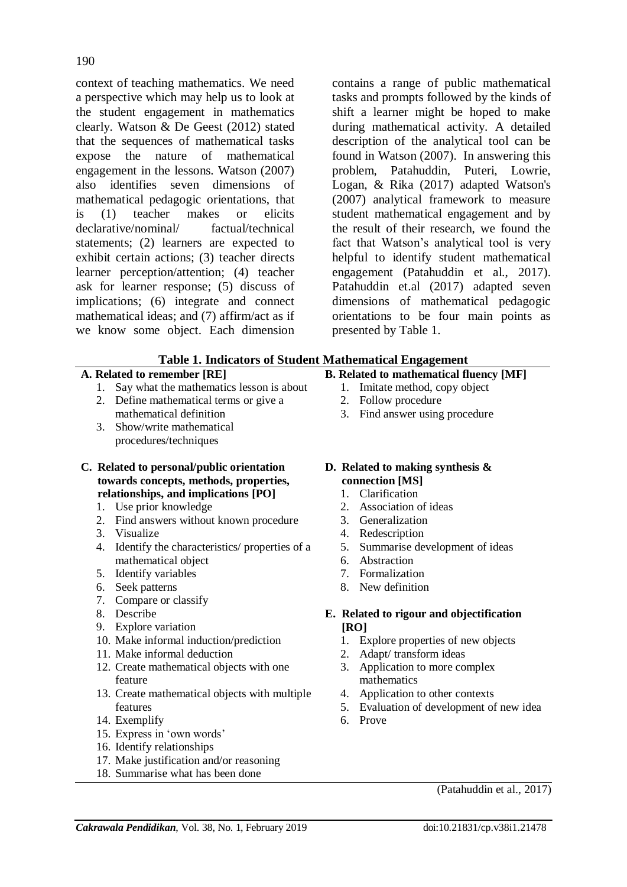context of teaching mathematics. We need a perspective which may help us to look at the student engagement in mathematics clearly. Watson & De Geest (2012) stated that the sequences of mathematical tasks expose the nature of mathematical engagement in the lessons. Watson (2007) also identifies seven dimensions of mathematical pedagogic orientations, that is (1) teacher makes or elicits declarative/nominal/ factual/technical statements; (2) learners are expected to exhibit certain actions; (3) teacher directs learner perception/attention; (4) teacher ask for learner response; (5) discuss of implications; (6) integrate and connect mathematical ideas; and (7) affirm/act as if we know some object. Each dimension

contains a range of public mathematical tasks and prompts followed by the kinds of shift a learner might be hoped to make during mathematical activity. A detailed description of the analytical tool can be found in Watson (2007). In answering this problem, Patahuddin, Puteri, Lowrie, Logan, & Rika (2017) adapted Watson's (2007) analytical framework to measure student mathematical engagement and by the result of their research, we found the fact that Watson"s analytical tool is very helpful to identify student mathematical engagement (Patahuddin et al., 2017). Patahuddin et.al (2017) adapted seven dimensions of mathematical pedagogic orientations to be four main points as presented by Table 1.

|  | <b>Table 1. Indicators of Student Mathematical Engagement</b> |  |
|--|---------------------------------------------------------------|--|
|  |                                                               |  |

## **A. Related to remember [RE]**

- 1. Say what the mathematics lesson is about
- 2. Define mathematical terms or give a mathematical definition
- 3. Show/write mathematical procedures/techniques
- **C. Related to personal/public orientation towards concepts, methods, properties, relationships, and implications [PO]**
	- 1. Use prior knowledge
	- 2. Find answers without known procedure
	- 3. Visualize
	- 4. Identify the characteristics/ properties of a mathematical object
	- 5. Identify variables
	- 6. Seek patterns
	- 7. Compare or classify
	- 8. Describe
	- 9. Explore variation
	- 10. Make informal induction/prediction
	- 11. Make informal deduction
	- 12. Create mathematical objects with one feature
	- 13. Create mathematical objects with multiple features
	- 14. Exemplify
	- 15. Express in "own words"
	- 16. Identify relationships
	- 17. Make justification and/or reasoning
	- 18. Summarise what has been done

# **B. Related to mathematical fluency [MF]**

- 1. Imitate method, copy object
	-
	- 2. Follow procedure
	- 3. Find answer using procedure

## **D. Related to making synthesis & connection [MS]**

- 1. Clarification
- 2. Association of ideas
- 3. Generalization
- 4. Redescription
- 5. Summarise development of ideas
- 6. Abstraction
- 7. Formalization
- 8. New definition

## **E. Related to rigour and objectification [RO]**

- 1. Explore properties of new objects
- 2. Adapt/ transform ideas
- 3. Application to more complex mathematics
- 4. Application to other contexts
- 5. Evaluation of development of new idea
- 6. Prove

(Patahuddin et al., 2017)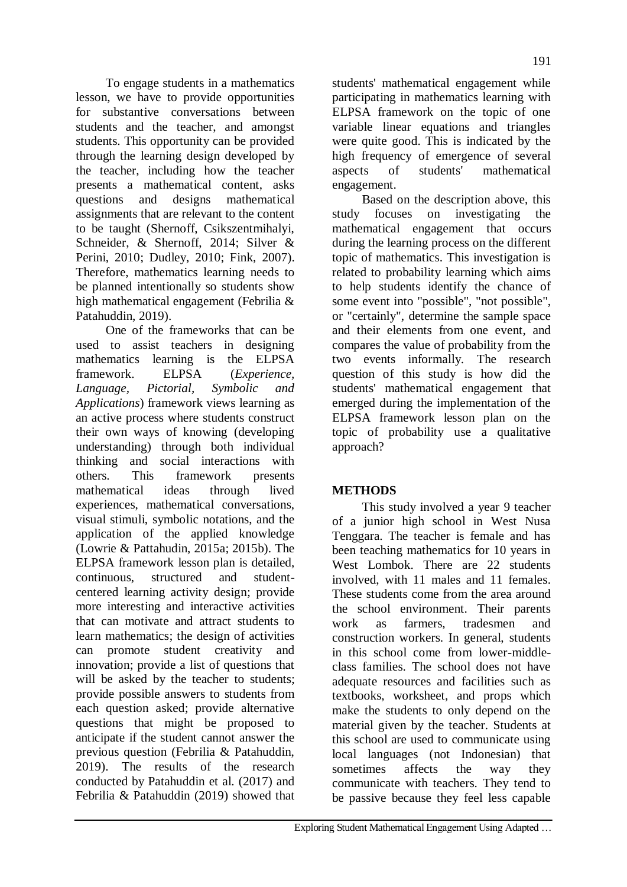To engage students in a mathematics lesson, we have to provide opportunities for substantive conversations between students and the teacher, and amongst students. This opportunity can be provided through the learning design developed by the teacher, including how the teacher presents a mathematical content, asks questions and designs mathematical assignments that are relevant to the content to be taught (Shernoff, Csikszentmihalyi, Schneider, & Shernoff, 2014; Silver & Perini, 2010; Dudley, 2010; Fink, 2007). Therefore, mathematics learning needs to be planned intentionally so students show high mathematical engagement (Febrilia & Patahuddin, 2019).

One of the frameworks that can be used to assist teachers in designing mathematics learning is the ELPSA framework. ELPSA (*Experience, Language, Pictorial, Symbolic and Applications*) framework views learning as an active process where students construct their own ways of knowing (developing understanding) through both individual thinking and social interactions with others. This framework presents mathematical ideas through lived experiences, mathematical conversations, visual stimuli, symbolic notations, and the application of the applied knowledge (Lowrie & Pattahudin, 2015a; 2015b). The ELPSA framework lesson plan is detailed, continuous, structured and studentcentered learning activity design; provide more interesting and interactive activities that can motivate and attract students to learn mathematics; the design of activities can promote student creativity and innovation; provide a list of questions that will be asked by the teacher to students; provide possible answers to students from each question asked; provide alternative questions that might be proposed to anticipate if the student cannot answer the previous question (Febrilia & Patahuddin, 2019). The results of the research conducted by Patahuddin et al. (2017) and Febrilia & Patahuddin (2019) showed that

students' mathematical engagement while participating in mathematics learning with ELPSA framework on the topic of one variable linear equations and triangles were quite good. This is indicated by the high frequency of emergence of several aspects of students' mathematical engagement.

Based on the description above, this study focuses on investigating the mathematical engagement that occurs during the learning process on the different topic of mathematics. This investigation is related to probability learning which aims to help students identify the chance of some event into "possible", "not possible", or "certainly", determine the sample space and their elements from one event, and compares the value of probability from the two events informally. The research question of this study is how did the students' mathematical engagement that emerged during the implementation of the ELPSA framework lesson plan on the topic of probability use a qualitative approach?

## **METHODS**

This study involved a year 9 teacher of a junior high school in West Nusa Tenggara. The teacher is female and has been teaching mathematics for 10 years in West Lombok. There are 22 students involved, with 11 males and 11 females. These students come from the area around the school environment. Their parents work as farmers, tradesmen and construction workers. In general, students in this school come from lower-middleclass families. The school does not have adequate resources and facilities such as textbooks, worksheet, and props which make the students to only depend on the material given by the teacher. Students at this school are used to communicate using local languages (not Indonesian) that sometimes affects the way they communicate with teachers. They tend to be passive because they feel less capable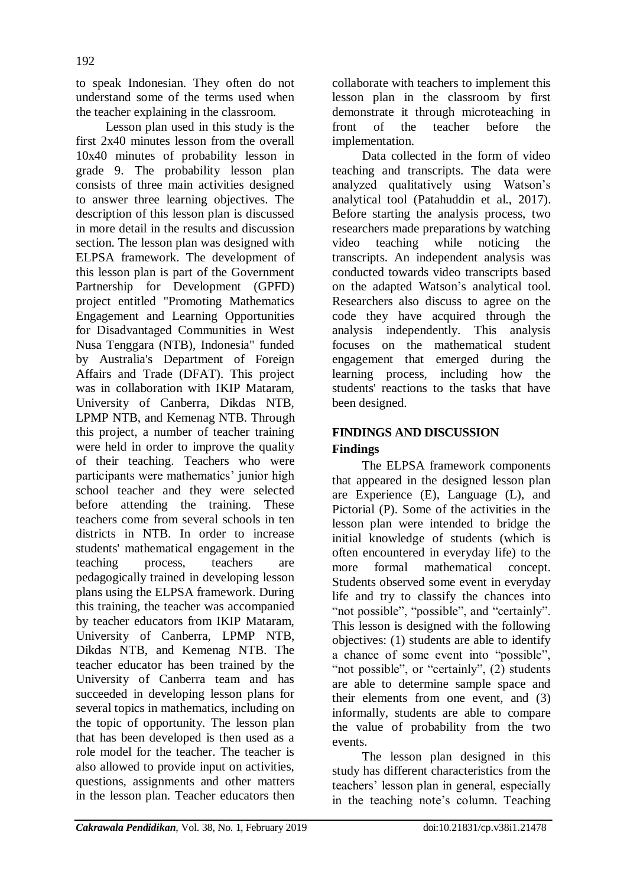to speak Indonesian. They often do not understand some of the terms used when the teacher explaining in the classroom.

Lesson plan used in this study is the first 2x40 minutes lesson from the overall 10x40 minutes of probability lesson in grade 9. The probability lesson plan consists of three main activities designed to answer three learning objectives. The description of this lesson plan is discussed in more detail in the results and discussion section. The lesson plan was designed with ELPSA framework. The development of this lesson plan is part of the Government Partnership for Development (GPFD) project entitled "Promoting Mathematics Engagement and Learning Opportunities for Disadvantaged Communities in West Nusa Tenggara (NTB), Indonesia" funded by Australia's Department of Foreign Affairs and Trade (DFAT). This project was in collaboration with IKIP Mataram, University of Canberra, Dikdas NTB, LPMP NTB, and Kemenag NTB. Through this project, a number of teacher training were held in order to improve the quality of their teaching. Teachers who were participants were mathematics' junior high school teacher and they were selected before attending the training. These teachers come from several schools in ten districts in NTB. In order to increase students' mathematical engagement in the teaching process, teachers are pedagogically trained in developing lesson plans using the ELPSA framework. During this training, the teacher was accompanied by teacher educators from IKIP Mataram, University of Canberra, LPMP NTB, Dikdas NTB, and Kemenag NTB. The teacher educator has been trained by the University of Canberra team and has succeeded in developing lesson plans for several topics in mathematics, including on the topic of opportunity. The lesson plan that has been developed is then used as a role model for the teacher. The teacher is also allowed to provide input on activities, questions, assignments and other matters in the lesson plan. Teacher educators then

collaborate with teachers to implement this lesson plan in the classroom by first demonstrate it through microteaching in front of the teacher before the implementation.

Data collected in the form of video teaching and transcripts. The data were analyzed qualitatively using Watson"s analytical tool (Patahuddin et al., 2017). Before starting the analysis process, two researchers made preparations by watching video teaching while noticing the transcripts. An independent analysis was conducted towards video transcripts based on the adapted Watson"s analytical tool. Researchers also discuss to agree on the code they have acquired through the analysis independently. This analysis focuses on the mathematical student engagement that emerged during the learning process, including how the students' reactions to the tasks that have been designed.

## **FINDINGS AND DISCUSSION Findings**

The ELPSA framework components that appeared in the designed lesson plan are Experience (E), Language (L), and Pictorial (P). Some of the activities in the lesson plan were intended to bridge the initial knowledge of students (which is often encountered in everyday life) to the more formal mathematical concept. Students observed some event in everyday life and try to classify the chances into "not possible", "possible", and "certainly". This lesson is designed with the following objectives: (1) students are able to identify a chance of some event into "possible", "not possible", or "certainly", (2) students are able to determine sample space and their elements from one event, and (3) informally, students are able to compare the value of probability from the two events.

The lesson plan designed in this study has different characteristics from the teachers" lesson plan in general, especially in the teaching note's column. Teaching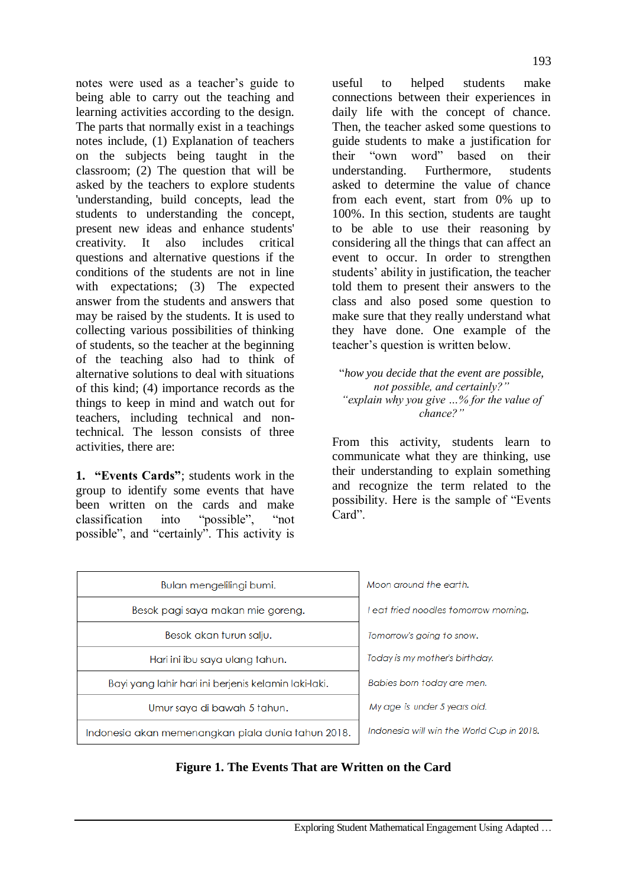notes were used as a teacher"s guide to being able to carry out the teaching and learning activities according to the design. The parts that normally exist in a teachings notes include, (1) Explanation of teachers on the subjects being taught in the classroom; (2) The question that will be asked by the teachers to explore students 'understanding, build concepts, lead the students to understanding the concept, present new ideas and enhance students' creativity. It also includes critical questions and alternative questions if the conditions of the students are not in line with expectations: (3) The expected answer from the students and answers that may be raised by the students. It is used to collecting various possibilities of thinking of students, so the teacher at the beginning of the teaching also had to think of alternative solutions to deal with situations of this kind; (4) importance records as the things to keep in mind and watch out for teachers, including technical and nontechnical. The lesson consists of three activities, there are:

**1. "Events Cards"**; students work in the group to identify some events that have been written on the cards and make classification into "possible", "not possible", and "certainly". This activity is

useful to helped students make connections between their experiences in daily life with the concept of chance. Then, the teacher asked some questions to guide students to make a justification for their "own word" based on their understanding. Furthermore, students asked to determine the value of chance from each event, start from 0% up to 100%. In this section, students are taught to be able to use their reasoning by considering all the things that can affect an event to occur. In order to strengthen students' ability in justification, the teacher told them to present their answers to the class and also posed some question to make sure that they really understand what they have done. One example of the teacher"s question is written below.

"*how you decide that the event are possible, not possible, and certainly?" "explain why you give …% for the value of chance?"*

From this activity, students learn to communicate what they are thinking, use their understanding to explain something and recognize the term related to the possibility. Here is the sample of "Events Card"

| Bulan mengelilingi bumi.                             | Moon around the earth.                    |  |
|------------------------------------------------------|-------------------------------------------|--|
| Besok pagi saya makan mie goreng.                    | eat fried noodles tomorrow morning.       |  |
| Besok akan turun salju.                              | Tomorrow's going to snow.                 |  |
| Hari ini ibu saya ulang tahun.                       | Today is my mother's birthday.            |  |
| Bayi yang lahir hari ini berjenis kelamin laki-laki. | Babies born today are men.                |  |
| Umur saya di bawah 5 tahun.                          | My age is under 5 years old.              |  |
| Indonesia akan memenanakan piala dunia tahun 2018.   | Indonesia will win the World Cup in 2018. |  |

## **Figure 1. The Events That are Written on the Card**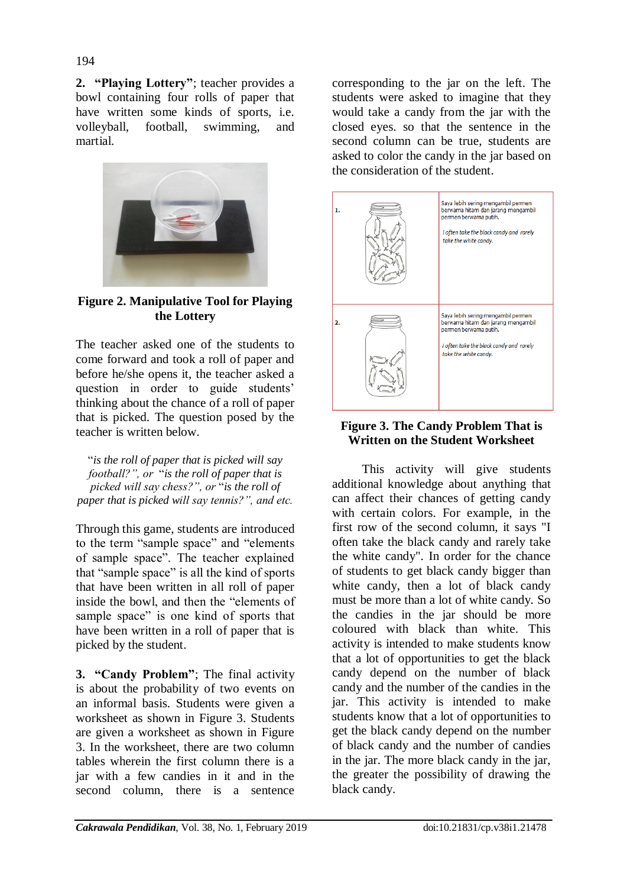**2. "Playing Lottery"**; teacher provides a bowl containing four rolls of paper that have written some kinds of sports, i.e. volleyball, football, swimming, and martial.



**Figure 2. Manipulative Tool for Playing the Lottery**

The teacher asked one of the students to come forward and took a roll of paper and before he/she opens it, the teacher asked a question in order to guide students' thinking about the chance of a roll of paper that is picked. The question posed by the teacher is written below.

"*is the roll of paper that is picked will say football?", or* "*is the roll of paper that is picked will say chess?", or* "*is the roll of paper that is picked will say tennis?", and etc.*

Through this game, students are introduced to the term "sample space" and "elements of sample space". The teacher explained that "sample space" is all the kind of sports that have been written in all roll of paper inside the bowl, and then the "elements of sample space" is one kind of sports that have been written in a roll of paper that is picked by the student.

**3. "Candy Problem"**; The final activity is about the probability of two events on an informal basis. Students were given a worksheet as shown in Figure 3. Students are given a worksheet as shown in Figure 3. In the worksheet, there are two column tables wherein the first column there is a jar with a few candies in it and in the second column, there is a sentence

corresponding to the jar on the left. The students were asked to imagine that they would take a candy from the jar with the closed eyes. so that the sentence in the second column can be true, students are asked to color the candy in the jar based on the consideration of the student.



## **Figure 3. The Candy Problem That is Written on the Student Worksheet**

This activity will give students additional knowledge about anything that can affect their chances of getting candy with certain colors. For example, in the first row of the second column, it says "I often take the black candy and rarely take the white candy". In order for the chance of students to get black candy bigger than white candy, then a lot of black candy must be more than a lot of white candy. So the candies in the jar should be more coloured with black than white. This activity is intended to make students know that a lot of opportunities to get the black candy depend on the number of black candy and the number of the candies in the jar. This activity is intended to make students know that a lot of opportunities to get the black candy depend on the number of black candy and the number of candies in the jar. The more black candy in the jar, the greater the possibility of drawing the black candy.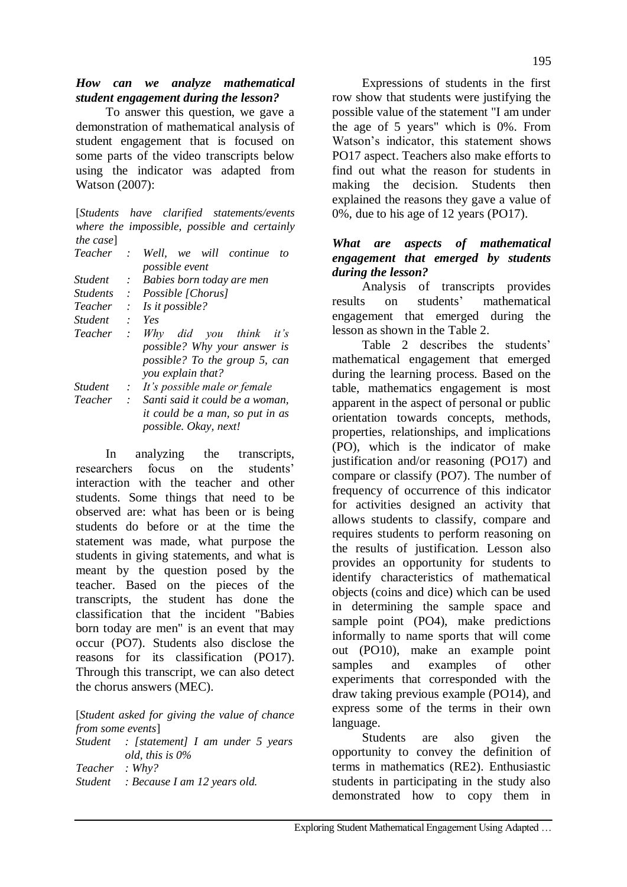To answer this question, we gave a demonstration of mathematical analysis of student engagement that is focused on some parts of the video transcripts below using the indicator was adapted from Watson (2007):

[*Students have clarified statements/events where the impossible, possible and certainly the case*]

| Teacher         | $\mathcal{L}^{\pm}$       | Well, we will continue<br>tο    |
|-----------------|---------------------------|---------------------------------|
|                 |                           | <i>possible event</i>           |
| <i>Student</i>  | ÷.                        | Babies born today are men       |
| <i>Students</i> |                           | : Possible [Chorus]             |
| Teacher         | $\mathbb{R}^2$            | Is it possible?                 |
| <i>Student</i>  | $\cdot$                   | Yes                             |
| Teacher         | $\mathcal{L}$             | Why did you think it's          |
|                 |                           | possible? Why your answer is    |
|                 |                           | possible? To the group 5, can   |
|                 |                           | you explain that?               |
| <b>Student</b>  | $\mathcal{L}$             | It's possible male or female    |
| Teacher         | $\mathbb{R}^{\mathbb{Z}}$ | Santi said it could be a woman, |
|                 |                           | it could be a man, so put in as |
|                 |                           | <i>possible. Okay, next!</i>    |
|                 |                           |                                 |

In analyzing the transcripts, researchers focus on the students" interaction with the teacher and other students. Some things that need to be observed are: what has been or is being students do before or at the time the statement was made, what purpose the students in giving statements, and what is meant by the question posed by the teacher. Based on the pieces of the transcripts, the student has done the classification that the incident "Babies born today are men" is an event that may occur (PO7). Students also disclose the reasons for its classification (PO17). Through this transcript, we can also detect the chorus answers (MEC).

[*Student asked for giving the value of chance from some events*]

*Student : [statement] I am under 5 years old, this is 0% Teacher : Why? Student : Because I am 12 years old.*

Expressions of students in the first row show that students were justifying the possible value of the statement "I am under the age of 5 years" which is 0%. From Watson"s indicator, this statement shows PO17 aspect. Teachers also make efforts to find out what the reason for students in making the decision. Students then explained the reasons they gave a value of 0%, due to his age of 12 years (PO17).

## *What are aspects of mathematical engagement that emerged by students during the lesson?*

Analysis of transcripts provides results on students" mathematical engagement that emerged during the lesson as shown in the Table 2.

Table 2 describes the students' mathematical engagement that emerged during the learning process. Based on the table, mathematics engagement is most apparent in the aspect of personal or public orientation towards concepts, methods, properties, relationships, and implications (PO), which is the indicator of make justification and/or reasoning (PO17) and compare or classify (PO7). The number of frequency of occurrence of this indicator for activities designed an activity that allows students to classify, compare and requires students to perform reasoning on the results of justification. Lesson also provides an opportunity for students to identify characteristics of mathematical objects (coins and dice) which can be used in determining the sample space and sample point (PO4), make predictions informally to name sports that will come out (PO10), make an example point samples and examples of other experiments that corresponded with the draw taking previous example (PO14), and express some of the terms in their own language.

Students are also given the opportunity to convey the definition of terms in mathematics (RE2). Enthusiastic students in participating in the study also demonstrated how to copy them in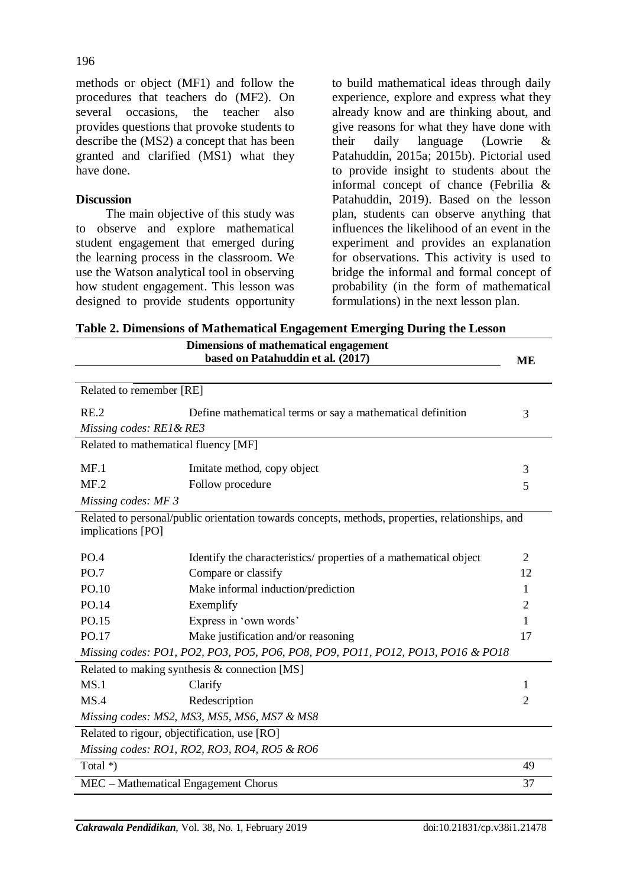methods or object (MF1) and follow the procedures that teachers do (MF2). On several occasions, the teacher also provides questions that provoke students to describe the (MS2) a concept that has been granted and clarified (MS1) what they have done.

## **Discussion**

The main objective of this study was to observe and explore mathematical student engagement that emerged during the learning process in the classroom. We use the Watson analytical tool in observing how student engagement. This lesson was designed to provide students opportunity

to build mathematical ideas through daily experience, explore and express what they already know and are thinking about, and give reasons for what they have done with their daily language (Lowrie & Patahuddin, 2015a; 2015b). Pictorial used to provide insight to students about the informal concept of chance (Febrilia & Patahuddin, 2019). Based on the lesson plan, students can observe anything that influences the likelihood of an event in the experiment and provides an explanation for observations. This activity is used to bridge the informal and formal concept of probability (in the form of mathematical formulations) in the next lesson plan.

**Table 2. Dimensions of Mathematical Engagement Emerging During the Lesson**

| Dimensions of mathematical engagement                                           |                                                                                                  |                |  |  |
|---------------------------------------------------------------------------------|--------------------------------------------------------------------------------------------------|----------------|--|--|
|                                                                                 | based on Patahuddin et al. (2017)                                                                | ME             |  |  |
| Related to remember [RE]                                                        |                                                                                                  |                |  |  |
|                                                                                 |                                                                                                  |                |  |  |
| RE.2                                                                            | Define mathematical terms or say a mathematical definition                                       | 3              |  |  |
| Missing codes: RE1 & RE3                                                        |                                                                                                  |                |  |  |
| Related to mathematical fluency [MF]                                            |                                                                                                  |                |  |  |
| MF.1                                                                            | Imitate method, copy object                                                                      | 3              |  |  |
| MF.2                                                                            | Follow procedure                                                                                 | 5              |  |  |
| Missing codes: MF 3                                                             |                                                                                                  |                |  |  |
| implications [PO]                                                               | Related to personal/public orientation towards concepts, methods, properties, relationships, and |                |  |  |
| PO.4                                                                            | Identify the characteristics/ properties of a mathematical object                                | 2              |  |  |
| PO.7                                                                            | Compare or classify                                                                              | 12             |  |  |
| PO.10                                                                           | Make informal induction/prediction                                                               | 1              |  |  |
| PO.14                                                                           | Exemplify                                                                                        | $\overline{2}$ |  |  |
| PO.15                                                                           | Express in 'own words'                                                                           | 1              |  |  |
| PO.17                                                                           | Make justification and/or reasoning                                                              | 17             |  |  |
| Missing codes: PO1, PO2, PO3, PO5, PO6, PO8, PO9, PO11, PO12, PO13, PO16 & PO18 |                                                                                                  |                |  |  |
|                                                                                 | Related to making synthesis & connection [MS]                                                    |                |  |  |
| MS.1                                                                            | Clarify                                                                                          | 1              |  |  |
| MS.4                                                                            | Redescription                                                                                    | $\overline{2}$ |  |  |
|                                                                                 | Missing codes: MS2, MS3, MS5, MS6, MS7 & MS8                                                     |                |  |  |
|                                                                                 | Related to rigour, objectification, use [RO]                                                     |                |  |  |
|                                                                                 | Missing codes: RO1, RO2, RO3, RO4, RO5 & RO6                                                     |                |  |  |
| Total *)                                                                        |                                                                                                  | 49             |  |  |
| MEC - Mathematical Engagement Chorus                                            |                                                                                                  |                |  |  |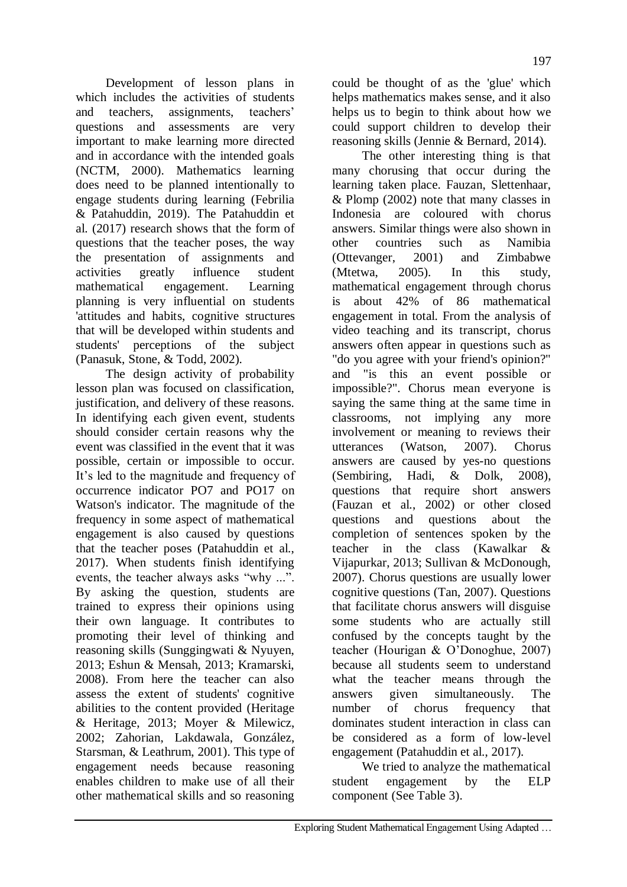Development of lesson plans in which includes the activities of students and teachers, assignments, teachers' questions and assessments are very important to make learning more directed and in accordance with the intended goals (NCTM, 2000). Mathematics learning does need to be planned intentionally to engage students during learning (Febrilia & Patahuddin, 2019). The Patahuddin et al. (2017) research shows that the form of questions that the teacher poses, the way the presentation of assignments and activities greatly influence student mathematical engagement. Learning planning is very influential on students 'attitudes and habits, cognitive structures that will be developed within students and students' perceptions of the subject (Panasuk, Stone, & Todd, 2002).

The design activity of probability lesson plan was focused on classification, justification, and delivery of these reasons. In identifying each given event, students should consider certain reasons why the event was classified in the event that it was possible, certain or impossible to occur. It's led to the magnitude and frequency of occurrence indicator PO7 and PO17 on Watson's indicator. The magnitude of the frequency in some aspect of mathematical engagement is also caused by questions that the teacher poses (Patahuddin et al., 2017). When students finish identifying events, the teacher always asks "why ...". By asking the question, students are trained to express their opinions using their own language. It contributes to promoting their level of thinking and reasoning skills (Sunggingwati & Nyuyen, 2013; Eshun & Mensah, 2013; Kramarski, 2008). From here the teacher can also assess the extent of students' cognitive abilities to the content provided (Heritage & Heritage, 2013; Moyer & Milewicz, 2002; Zahorian, Lakdawala, González, Starsman, & Leathrum, 2001). This type of engagement needs because reasoning enables children to make use of all their other mathematical skills and so reasoning

could be thought of as the 'glue' which helps mathematics makes sense, and it also helps us to begin to think about how we could support children to develop their reasoning skills (Jennie & Bernard, 2014).

The other interesting thing is that many chorusing that occur during the learning taken place. Fauzan, Slettenhaar, & Plomp (2002) note that many classes in Indonesia are coloured with chorus answers. Similar things were also shown in other countries such as Namibia (Ottevanger, 2001) and Zimbabwe (Mtetwa, 2005). In this study, mathematical engagement through chorus is about 42% of 86 mathematical engagement in total. From the analysis of video teaching and its transcript, chorus answers often appear in questions such as "do you agree with your friend's opinion?" and "is this an event possible or impossible?". Chorus mean everyone is saying the same thing at the same time in classrooms, not implying any more involvement or meaning to reviews their utterances (Watson, 2007). Chorus answers are caused by yes-no questions (Sembiring, Hadi, & Dolk, 2008), questions that require short answers (Fauzan et al., 2002) or other closed questions and questions about the completion of sentences spoken by the teacher in the class (Kawalkar & Vijapurkar, 2013; Sullivan & McDonough, 2007). Chorus questions are usually lower cognitive questions (Tan, 2007). Questions that facilitate chorus answers will disguise some students who are actually still confused by the concepts taught by the teacher (Hourigan & O"Donoghue, 2007) because all students seem to understand what the teacher means through the answers given simultaneously. The number of chorus frequency that dominates student interaction in class can be considered as a form of low-level engagement (Patahuddin et al., 2017).

We tried to analyze the mathematical student engagement by the ELP component (See Table 3).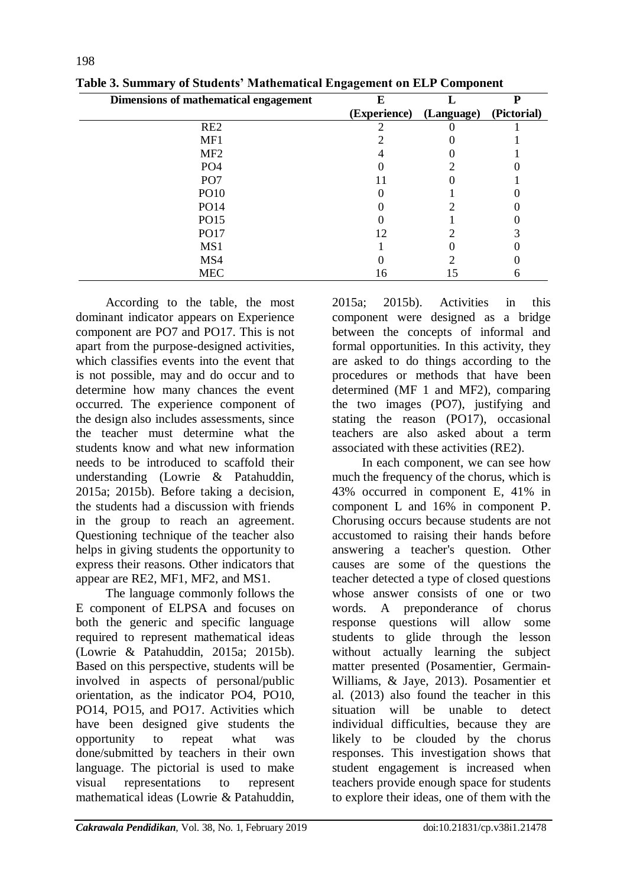| ິ  |            |              |
|----|------------|--------------|
| E  |            |              |
|    | (Language) | (Pictorial)  |
|    |            |              |
|    |            |              |
|    |            |              |
|    |            |              |
|    |            |              |
|    |            |              |
|    |            |              |
|    |            |              |
|    |            |              |
|    |            |              |
|    |            |              |
| Iб |            |              |
|    |            | (Experience) |

**Table 3. Summary of Students' Mathematical Engagement on ELP Component**

According to the table, the most dominant indicator appears on Experience component are PO7 and PO17. This is not apart from the purpose-designed activities, which classifies events into the event that is not possible, may and do occur and to determine how many chances the event occurred. The experience component of the design also includes assessments, since the teacher must determine what the students know and what new information needs to be introduced to scaffold their understanding (Lowrie & Patahuddin, 2015a; 2015b). Before taking a decision, the students had a discussion with friends in the group to reach an agreement. Questioning technique of the teacher also helps in giving students the opportunity to express their reasons. Other indicators that appear are RE2, MF1, MF2, and MS1.

The language commonly follows the E component of ELPSA and focuses on both the generic and specific language required to represent mathematical ideas (Lowrie & Patahuddin, 2015a; 2015b). Based on this perspective, students will be involved in aspects of personal/public orientation, as the indicator PO4, PO10, PO14, PO15, and PO17. Activities which have been designed give students the opportunity to repeat what was done/submitted by teachers in their own language. The pictorial is used to make visual representations to represent mathematical ideas (Lowrie & Patahuddin,

2015a; 2015b). Activities in this component were designed as a bridge between the concepts of informal and formal opportunities. In this activity, they are asked to do things according to the procedures or methods that have been determined (MF 1 and MF2), comparing the two images (PO7), justifying and stating the reason (PO17), occasional teachers are also asked about a term associated with these activities (RE2).

In each component, we can see how much the frequency of the chorus, which is 43% occurred in component E, 41% in component L and 16% in component P. Chorusing occurs because students are not accustomed to raising their hands before answering a teacher's question. Other causes are some of the questions the teacher detected a type of closed questions whose answer consists of one or two words. A preponderance of chorus response questions will allow some students to glide through the lesson without actually learning the subject matter presented (Posamentier, Germain-Williams, & Jaye, 2013). Posamentier et al. (2013) also found the teacher in this situation will be unable to detect individual difficulties, because they are likely to be clouded by the chorus responses. This investigation shows that student engagement is increased when teachers provide enough space for students to explore their ideas, one of them with the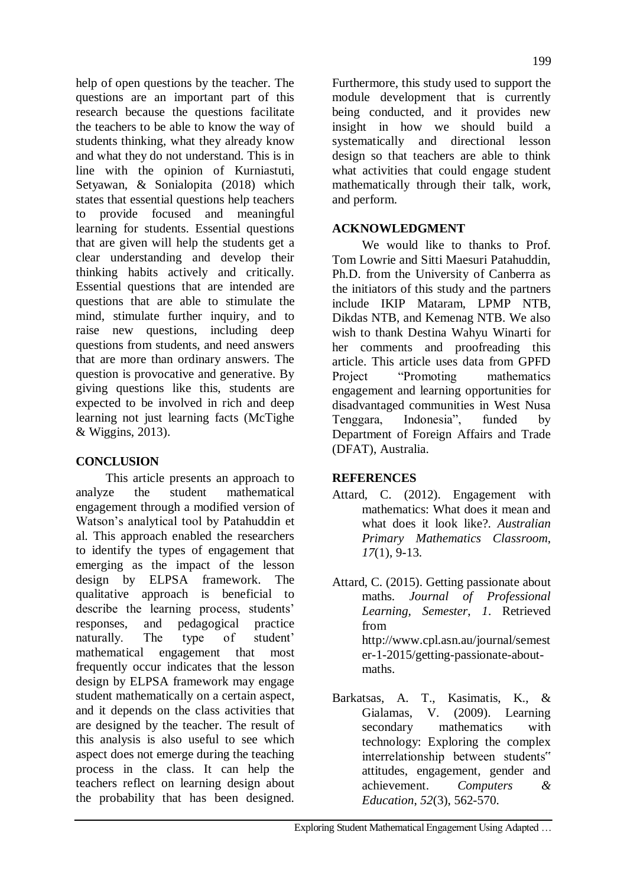help of open questions by the teacher. The questions are an important part of this research because the questions facilitate the teachers to be able to know the way of students thinking, what they already know and what they do not understand. This is in line with the opinion of Kurniastuti, Setyawan, & Sonialopita (2018) which states that essential questions help teachers to provide focused and meaningful learning for students. Essential questions that are given will help the students get a clear understanding and develop their thinking habits actively and critically. Essential questions that are intended are questions that are able to stimulate the mind, stimulate further inquiry, and to raise new questions, including deep questions from students, and need answers that are more than ordinary answers. The question is provocative and generative. By giving questions like this, students are expected to be involved in rich and deep learning not just learning facts (McTighe & Wiggins, 2013).

## **CONCLUSION**

This article presents an approach to analyze the student mathematical engagement through a modified version of Watson"s analytical tool by Patahuddin et al. This approach enabled the researchers to identify the types of engagement that emerging as the impact of the lesson design by ELPSA framework. The qualitative approach is beneficial to describe the learning process, students' responses, and pedagogical practice naturally. The type of student' mathematical engagement that most frequently occur indicates that the lesson design by ELPSA framework may engage student mathematically on a certain aspect, and it depends on the class activities that are designed by the teacher. The result of this analysis is also useful to see which aspect does not emerge during the teaching process in the class. It can help the teachers reflect on learning design about the probability that has been designed.

Furthermore, this study used to support the module development that is currently being conducted, and it provides new insight in how we should build a systematically and directional lesson design so that teachers are able to think what activities that could engage student mathematically through their talk, work, and perform.

## **ACKNOWLEDGMENT**

We would like to thanks to Prof. Tom Lowrie and Sitti Maesuri Patahuddin, Ph.D. from the University of Canberra as the initiators of this study and the partners include IKIP Mataram, LPMP NTB, Dikdas NTB, and Kemenag NTB. We also wish to thank Destina Wahyu Winarti for her comments and proofreading this article. This article uses data from GPFD Project "Promoting mathematics" engagement and learning opportunities for disadvantaged communities in West Nusa Tenggara, Indonesia", funded by Department of Foreign Affairs and Trade (DFAT), Australia.

## **REFERENCES**

- Attard, C. (2012). Engagement with mathematics: What does it mean and what does it look like?. *Australian Primary Mathematics Classroom*, *17*(1), 9-13.
- Attard, C. (2015). Getting passionate about maths. *Journal of Professional Learning, Semester*, *1*. Retrieved from [http://www.cpl.asn.au/journal/semest](http://www.cpl.asn.au/journal/semester-1-2015/getting-passionate-about-maths) [er-1-2015/getting-passionate-about](http://www.cpl.asn.au/journal/semester-1-2015/getting-passionate-about-maths)[maths.](http://www.cpl.asn.au/journal/semester-1-2015/getting-passionate-about-maths)
- Barkatsas, A. T., Kasimatis, K., & Gialamas, V. (2009). Learning secondary mathematics with technology: Exploring the complex interrelationship between students" attitudes, engagement, gender and achievement. *Computers & Education*, *52*(3), 562-570.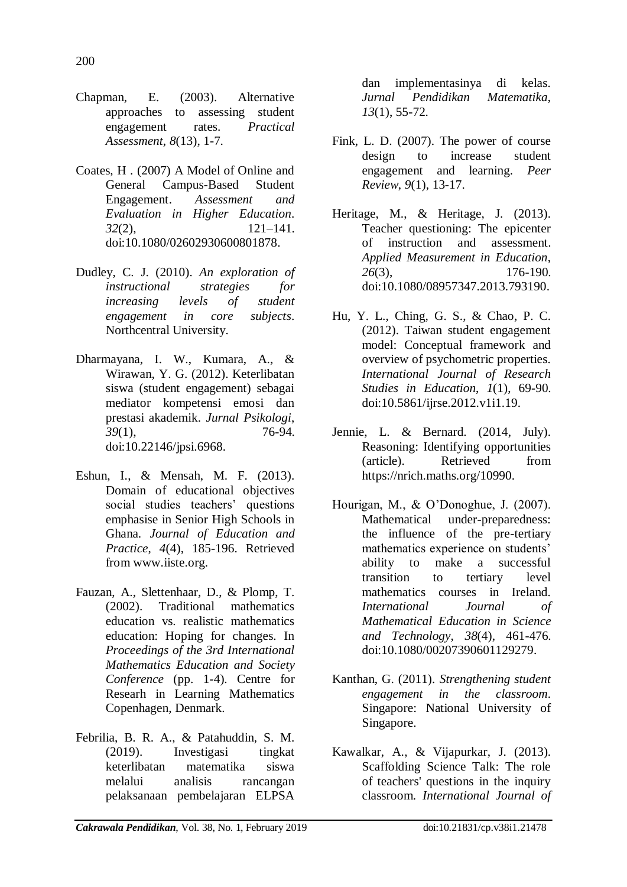- Chapman, E. (2003). Alternative approaches to assessing student engagement rates. *Practical Assessment*, *8*(13), 1-7.
- Coates, H . (2007) A Model of Online and General Campus-Based Student Engagement. *Assessment and Evaluation in Higher Education*. *32*(2), 121–141. doi[:10.1080/02602930600801878.](http://dx.doi.org/10.1080/02602930600801878)
- Dudley, C. J. (2010). *An exploration of instructional strategies for increasing levels of student engagement in core subjects*. Northcentral University.
- Dharmayana, I. W., Kumara, A., & Wirawan, Y. G. (2012). Keterlibatan siswa (student engagement) sebagai mediator kompetensi emosi dan prestasi akademik. *Jurnal Psikologi*, *39*(1), 76-94. doi[:10.22146/jpsi.6968.](https://doi.org/10.22146/jpsi.6968)
- Eshun, I., & Mensah, M. F. (2013). Domain of educational objectives social studies teachers' questions emphasise in Senior High Schools in Ghana. *Journal of Education and Practice*, *4*(4), 185-196. Retrieved from www.iiste.org.
- Fauzan, A., Slettenhaar, D., & Plomp, T. (2002). Traditional mathematics education vs. realistic mathematics education: Hoping for changes. In *Proceedings of the 3rd International Mathematics Education and Society Conference* (pp. 1-4). Centre for Researh in Learning Mathematics Copenhagen, Denmark.
- Febrilia, B. R. A., & Patahuddin, S. M. (2019). Investigasi tingkat keterlibatan matematika siswa melalui analisis rancangan pelaksanaan pembelajaran ELPSA

dan implementasinya di kelas. *Jurnal Pendidikan Matematika*, *13*(1), 55-72.

- Fink, L. D. (2007). The power of course design to increase student engagement and learning. *Peer Review*, *9*(1), 13-17.
- Heritage, M., & Heritage, J. (2013). Teacher questioning: The epicenter of instruction and assessment. *Applied Measurement in Education*, *26*(3), 176-190. doi[:10.1080/08957347.2013.793190.](https://doi.org/10.1080/08957347.2013.793190)
- Hu, Y. L., Ching, G. S., & Chao, P. C. (2012). Taiwan student engagement model: Conceptual framework and overview of psychometric properties. *International Journal of Research Studies in Education*, *1*(1), 69-90. doi:10.5861/ijrse.2012.v1i1.19.
- Jennie, L. & Bernard. (2014, July). Reasoning: Identifying opportunities (article). Retrieved from [https://nrich.maths.org/10990.](https://nrich.maths.org/10990)
- Hourigan, M., & O"Donoghue, J. (2007). Mathematical under-preparedness: the influence of the pre-tertiary mathematics experience on students' ability to make a successful transition to tertiary level mathematics courses in Ireland. *International Journal of Mathematical Education in Science and Technology*, *38*(4), 461-476. doi[:10.1080/00207390601129279.](http://dx.doi.org/10.1080/00207390601129279)
- Kanthan, G. (2011). *Strengthening student engagement in the classroom*. Singapore: National University of Singapore.
- Kawalkar, A., & Vijapurkar, J. (2013). Scaffolding Science Talk: The role of teachers' questions in the inquiry classroom. *International Journal of*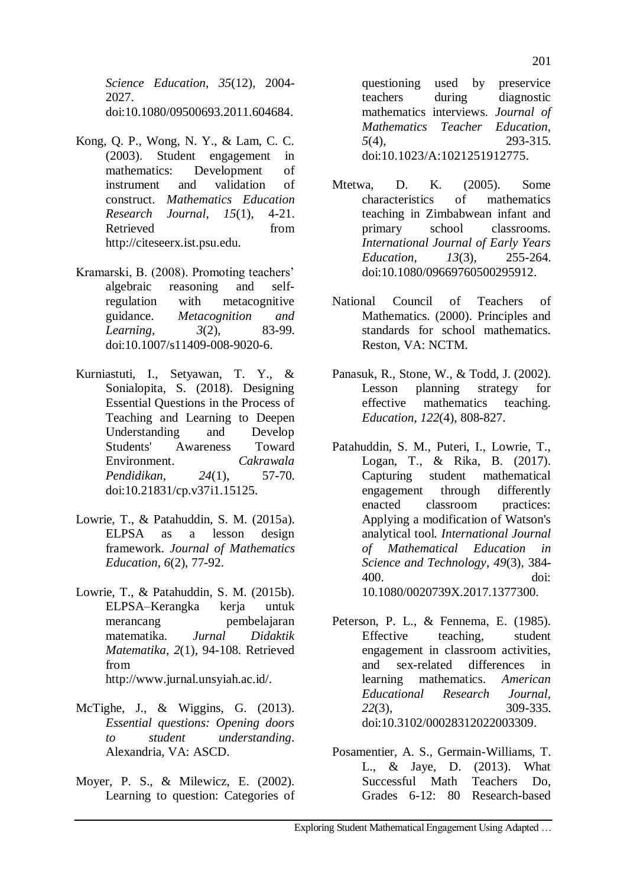*Science Education*, *35*(12), 2004- 2027. doi[:10.1080/09500693.2011.604684.](https://doi.org/10.1080/09500693.2011.604684)

- Kong, Q. P., Wong, N. Y., & Lam, C. C. (2003). Student engagement in mathematics: Development of instrument and validation of construct. *Mathematics Education Research Journal*, *15*(1), 4-21. Retrieved from http://citeseerx.ist.psu.edu.
- Kramarski, B. (2008). Promoting teachers" algebraic reasoning and selfregulation with metacognitive guidance. *Metacognition and Learning*, *3*(2), 83-99. doi:10.1007/s11409-008-9020-6.
- Kurniastuti, I., Setyawan, T. Y., & Sonialopita, S. (2018). Designing Essential Questions in the Process of Teaching and Learning to Deepen Understanding and Develop Students' Awareness Toward Environment. *Cakrawala Pendidikan*, *24*(1), 57-70. doi[:10.21831/cp.v37i1.15125.](https://doi.org/10.21831/cp.v37i1.15125)
- Lowrie, T., & Patahuddin, S. M. (2015a). ELPSA as a lesson design framework. *Journal of Mathematics Education*, *6*(2), 77-92.
- Lowrie, T., & Patahuddin, S. M. (2015b). ELPSA–Kerangka kerja untuk merancang pembelajaran matematika. *Jurnal Didaktik Matematika*, *2*(1), 94-108. Retrieved from http://www.jurnal.unsyiah.ac.id/.
- McTighe, J., & Wiggins, G. (2013). *Essential questions: Opening doors to student understanding*. Alexandria, VA: ASCD.
- Moyer, P. S., & Milewicz, E. (2002). Learning to question: Categories of

questioning used by preservice teachers during diagnostic mathematics interviews. *Journal of Mathematics Teacher Education*, *5*(4), 293-315. doi:10.1023/A:1021251912775.

- Mtetwa, D. K. (2005). Some characteristics of mathematics teaching in Zimbabwean infant and primary school classrooms. *International Journal of Early Years Education*, *13*(3), 255-264. doi[:10.1080/09669760500295912.](https://doi.org/10.1080/09669760500295912)
- National Council of Teachers of Mathematics. (2000). Principles and standards for school mathematics. Reston, VA: NCTM.
- Panasuk, R., Stone, W., & Todd, J. (2002). Lesson planning strategy for effective mathematics teaching. *Education*, *122*(4), 808-827.
- Patahuddin, S. M., Puteri, I., Lowrie, T., Logan, T., & Rika, B. (2017). Capturing student mathematical engagement through differently enacted classroom practices: Applying a modification of Watson's analytical tool*. International Journal of Mathematical Education in Science and Technology*, *49*(3), 384- 400. doi: 10.1080/0020739X.2017.1377300.
- Peterson, P. L., & Fennema, E. (1985). Effective teaching, student engagement in classroom activities, and sex-related differences in learning mathematics. *American Educational Research Journal*, *22*(3), 309-335. doi[:10.3102/00028312022003309.](http://dx.doi.org/10.3102/00028312022003309)
- Posamentier, A. S., Germain-Williams, T. L., & Jaye, D. (2013). What Successful Math Teachers Do, Grades 6-12: 80 Research-based